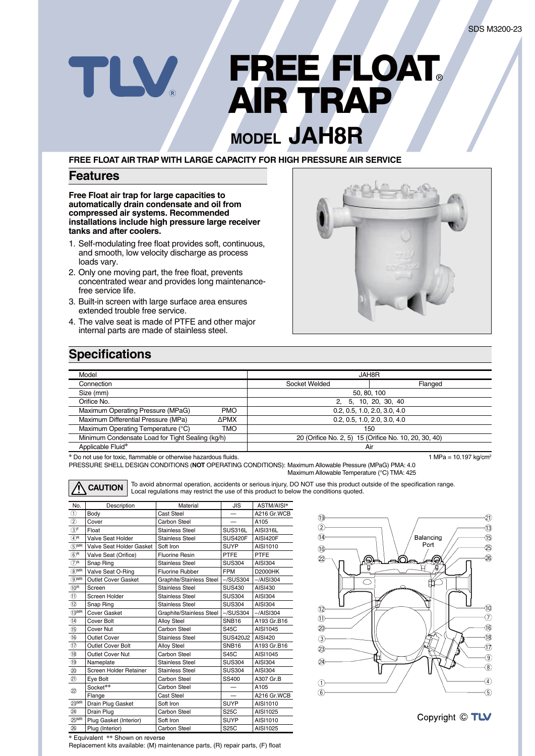# **FREE FLOAT®** TLV **AIR TRAP**

## **MODEL JAH8R**

#### **FREE FLOAT AIR TRAP WITH LARGE CAPACITY FOR HIGH PRESSURE AIR SERVICE**

### **Features**

**Free Float air trap for large capacities to automatically drain condensate and oil from compressed air systems. Recommended installations include high pressure large receiver tanks and after coolers.**

- 1. Self-modulating free float provides soft, continuous, and smooth, low velocity discharge as process loads vary.
- 2. Only one moving part, the free float, prevents concentrated wear and provides long maintenancefree service life.
- 3. Built-in screen with large surface area ensures extended trouble free service.
- 4. The valve seat is made of PTFE and other major internal parts are made of stainless steel.



## **Specifications**

| Model                                            |             | JAH8R                                                 |                              |  |
|--------------------------------------------------|-------------|-------------------------------------------------------|------------------------------|--|
| Connection                                       |             | Socket Welded                                         | Flanged                      |  |
| Size (mm)                                        |             | 50, 80, 100                                           |                              |  |
| Orifice No.                                      |             | 2, 5, 10, 20, 30, 40                                  |                              |  |
| Maximum Operating Pressure (MPaG)                | <b>PMO</b>  |                                                       | 0.2, 0.5, 1.0, 2.0, 3.0, 4.0 |  |
| Maximum Differential Pressure (MPa)              | <b>APMX</b> |                                                       | 0.2, 0.5, 1.0, 2.0, 3.0, 4.0 |  |
| Maximum Operating Temperature (°C)               | TMO         |                                                       | 150                          |  |
| Minimum Condensate Load for Tight Sealing (kg/h) |             | 20 (Orifice No. 2, 5) 15 (Orifice No. 10, 20, 30, 40) |                              |  |
| Applicable Fluid*                                |             | Air                                                   |                              |  |

**\*** Do not use for toxic, flammable or otherwise hazardous fluids. 1 MPa = 10.197 kg/cm<sup>2</sup>

PRESSURE SHELL DESIGN CONDITIONS (**NOT** OPERATING CONDITIONS): Maximum Allowable Pressure (MPaG) PMA: 4.0 Maximum Allowable Temperature (°C) TMA: 425



**CAUTION** To avoid abnormal operation, accidents or serious injury, DO NOT use this product outside of the specification range.<br> **CAUTION** Local regulations may restrict the use of this product to below the conditions quot

| No.                        | Description              | <b>JIS</b><br>Material   |                         | ASTM/AISI*      |  |  |
|----------------------------|--------------------------|--------------------------|-------------------------|-----------------|--|--|
| $\circled{1}$              | Body                     | <b>Cast Steel</b>        |                         | A216 Gr.WCB     |  |  |
| $^{\circ}$                 | Cover                    | Carbon Steel             |                         | A105            |  |  |
| $\circled{3}^{\mathsf{F}}$ | Float                    | <b>Stainless Steel</b>   | <b>SUS316L</b>          | AISI316L        |  |  |
| ⊕R                         | Valve Seat Holder        | <b>Stainless Steel</b>   | <b>SUS420F</b>          | <b>AISI420F</b> |  |  |
| $\circledS$ MR             | Valve Seat Holder Gasket | Soft Iron                | <b>SUYP</b>             | AISI1010        |  |  |
| $\overline{(6)}$ R         | Valve Seat (Orifice)     | <b>Fluorine Resin</b>    | <b>PTFE</b>             | PTFE            |  |  |
| (7) <sup>R</sup>           | Snap Ring                | <b>Stainless Steel</b>   | <b>SUS304</b>           | <b>AISI304</b>  |  |  |
| $(8)$ MR                   | Valve Seat O-Ring        | <b>Fluorine Rubber</b>   | <b>FPM</b>              | <b>D2000HK</b>  |  |  |
| $\circledcirc$ MR          | Outlet Cover Gasket      | Graphite/Stainless Steel | $-\sqrt{\text{SUS}}304$ | $-$ /AISI304    |  |  |
| $(10)$ R                   | Screen                   | <b>Stainless Steel</b>   | <b>SUS430</b>           | AISI430         |  |  |
| (1)                        | Screen Holder            | <b>Stainless Steel</b>   | <b>SUS304</b>           | <b>AISI304</b>  |  |  |
| $\circled{12}$             | Snap Ring                | <b>Stainless Steel</b>   | <b>SUS304</b>           | <b>AISI304</b>  |  |  |
| $(3)$ MR                   | Cover Gasket             | Graphite/Stainless Steel | $-\sqrt{\text{SUS}304}$ | $-$ /AISI304    |  |  |
| $\circled{4}$              | Cover Bolt               | <b>Alloy Steel</b>       | SNB <sub>16</sub>       | A193 Gr.B16     |  |  |
| $\circled{1}$              | Cover Nut                | Carbon Steel             | S45C                    | AISI1045        |  |  |
| (16)                       | <b>Outlet Cover</b>      | <b>Stainless Steel</b>   | SUS420J2                | AISI420         |  |  |
| $\overline{1}$             | <b>Outlet Cover Bolt</b> | <b>Alloy Steel</b>       | SNB <sub>16</sub>       | A193 Gr.B16     |  |  |
| (18)                       | <b>Outlet Cover Nut</b>  | Carbon Steel             | S45C                    | AISI1045        |  |  |
| $\overline{19}$            | Nameplate                | <b>Stainless Steel</b>   | <b>SUS304</b>           | <b>AISI304</b>  |  |  |
| 20                         | Screen Holder Retainer   | <b>Stainless Steel</b>   | <b>SUS304</b>           | <b>AISI304</b>  |  |  |
| $\circled{2}$              | Eye Bolt                 | Carbon Steel             | SS400                   | A307 Gr.B       |  |  |
| $^{\circledR}$             | Socket**                 | <b>Carbon Steel</b>      |                         | A105            |  |  |
|                            | Flange                   | Cast Steel               |                         | A216 Gr.WCB     |  |  |
| 23MR                       | Drain Plug Gasket        | Soft Iron                | <b>SUYP</b>             | AISI1010        |  |  |
| 24                         | Drain Plug               | <b>Carbon Steel</b>      | S25C                    | AISI1025        |  |  |
| 25 <sub>MR</sub>           | Plug Gasket (Interior)   | Soft Iron                | <b>SUYP</b>             | AISI1010        |  |  |
| (26)                       | Plug (Interior)          | <b>Carbon Steel</b>      | <b>S25C</b>             | AISI1025        |  |  |





**\*** Equivalent **\*\*** Shown on reverse

Replacement kits available: (M) maintenance parts, (R) repair parts, (F) float